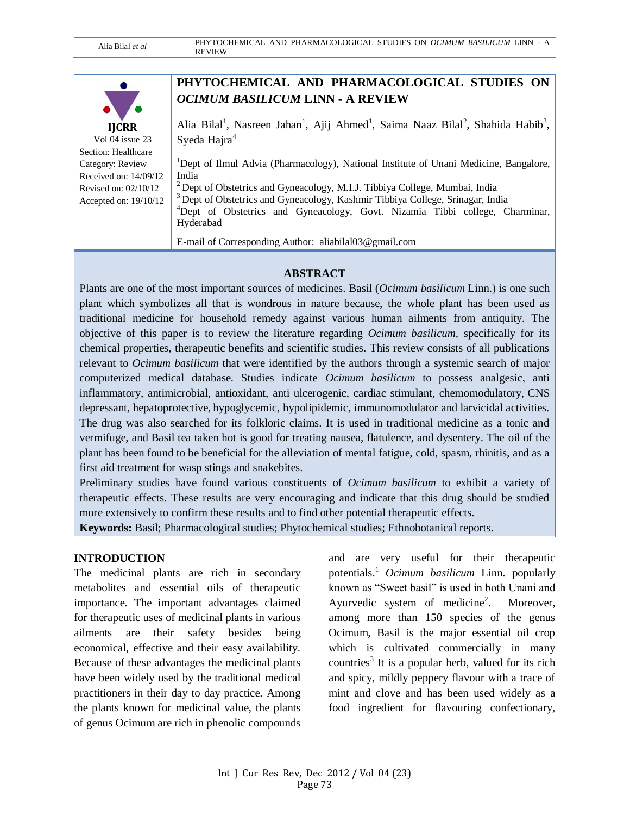|                         | PHYTOCHEMICAL AND PHARMACOLOGICAL STUDIES ON                                                                                                  |
|-------------------------|-----------------------------------------------------------------------------------------------------------------------------------------------|
|                         | OCIMUM BASILICUM LINN - A REVIEW                                                                                                              |
| <b>IJCRR</b>            | Alia Bilal <sup>1</sup> , Nasreen Jahan <sup>1</sup> , Ajij Ahmed <sup>1</sup> , Saima Naaz Bilal <sup>2</sup> , Shahida Habib <sup>3</sup> , |
| Vol 04 issue 23         | Syeda Hajra <sup>4</sup>                                                                                                                      |
| Section: Healthcare     |                                                                                                                                               |
| Category: Review        | <sup>1</sup> Dept of Ilmul Advia (Pharmacology), National Institute of Unani Medicine, Bangalore,                                             |
| Received on: $14/09/12$ | India                                                                                                                                         |
| Revised on: $02/10/12$  | <sup>2</sup> Dept of Obstetrics and Gyneacology, M.I.J. Tibbiya College, Mumbai, India                                                        |
| Accepted on: $19/10/12$ | <sup>3</sup> Dept of Obstetrics and Gyneacology, Kashmir Tibbiya College, Srinagar, India                                                     |
|                         | <sup>4</sup> Dept of Obstetrics and Gyneacology, Govt. Nizamia Tibbi college, Charminar,                                                      |
|                         | Hyderabad                                                                                                                                     |
|                         | E-mail of Corresponding Author: aliabilal03@gmail.com                                                                                         |

## **ABSTRACT**

Plants are one of the most important sources of medicines. Basil (*Ocimum basilicum* Linn.) is one such plant which symbolizes all that is wondrous in nature because, the whole plant has been used as traditional medicine for household remedy against various human ailments from antiquity. The objective of this paper is to review the literature regarding *Ocimum basilicum,* specifically for its chemical properties, therapeutic benefits and scientific studies. This review consists of all publications relevant to *Ocimum basilicum* that were identified by the authors through a systemic search of major computerized medical database. Studies indicate *Ocimum basilicum* to possess analgesic, anti inflammatory, antimicrobial, antioxidant, anti ulcerogenic, cardiac stimulant, chemomodulatory, CNS depressant, hepatoprotective, hypoglycemic, hypolipidemic, immunomodulator and larvicidal activities. The drug was also searched for its folkloric claims. It is used in traditional medicine as a tonic and vermifuge, and Basil tea taken hot is good for treating nausea, flatulence, and dysentery. The oil of the plant has been found to be beneficial for the alleviation of mental fatigue, cold, spasm, rhinitis, and as a first aid treatment for wasp stings and snakebites.

Preliminary studies have found various constituents of *Ocimum basilicum* to exhibit a variety of therapeutic effects. These results are very encouraging and indicate that this drug should be studied more extensively to confirm these results and to find other potential therapeutic effects.

**Keywords:** Basil; Pharmacological studies; Phytochemical studies; Ethnobotanical reports.

#### **INTRODUCTION**

The medicinal plants are rich in secondary metabolites and essential oils of therapeutic importance. The important advantages claimed for therapeutic uses of medicinal plants in various ailments are their safety besides being economical, effective and their easy availability. Because of these advantages the medicinal plants have been widely used by the traditional medical practitioners in their day to day practice. Among the plants known for medicinal value, the plants of genus Ocimum are rich in phenolic compounds

and are very useful for their therapeutic potentials.<sup>1</sup> *Ocimum basilicum* Linn. popularly known as "Sweet basil" is used in both Unani and Ayurvedic system of medicine<sup>2</sup>. Moreover. among more than 150 species of the genus Ocimum, Basil is the major essential oil crop which is cultivated commercially in many countries<sup>3</sup> It is a popular herb, valued for its rich and spicy, mildly peppery flavour with a trace of mint and clove and has been used widely as a food ingredient for flavouring confectionary,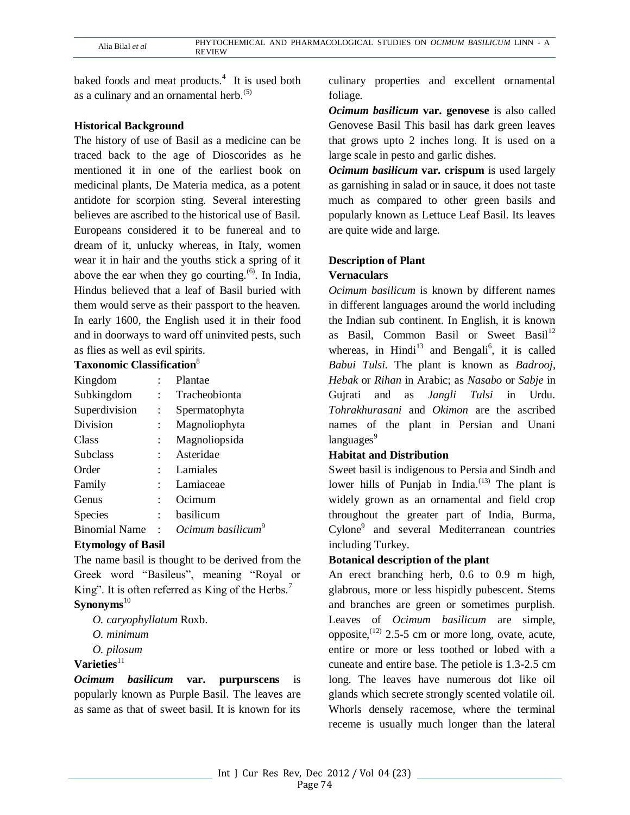baked foods and meat products.<sup>4</sup> It is used both as a culinary and an ornamental herb. $(5)$ 

## **Historical Background**

The history of use of Basil as a medicine can be traced back to the age of Dioscorides as he mentioned it in one of the earliest book on medicinal plants, De Materia medica, as a potent antidote for scorpion sting. Several interesting believes are ascribed to the historical use of Basil. Europeans considered it to be funereal and to dream of it, unlucky whereas, in Italy, women wear it in hair and the youths stick a spring of it above the ear when they go courting. $(6)$ . In India, Hindus believed that a leaf of Basil buried with them would serve as their passport to the heaven. In early 1600, the English used it in their food and in doorways to ward off uninvited pests, such as flies as well as evil spirits.

## **Taxonomic Classification**<sup>8</sup>

| Kingdom              |                      | Plantae                       |
|----------------------|----------------------|-------------------------------|
| Subkingdom           |                      | Tracheobionta                 |
| Superdivision        | $\ddot{\cdot}$       | Spermatophyta                 |
| Division             | $\ddot{\phantom{0}}$ | Magnoliophyta                 |
| Class                |                      | Magnoliopsida                 |
| <b>Subclass</b>      |                      | Asteridae                     |
| Order                |                      | Lamiales                      |
| Family               |                      | Lamiaceae                     |
| Genus                |                      | Ocimum                        |
| Species              | $\ddot{\phantom{a}}$ | basilicum                     |
| <b>Binomial Name</b> |                      | Ocimum basilicum <sup>°</sup> |

## **Etymology of Basil**

The name basil is thought to be derived from the Greek word "Basileus", meaning "Royal or King". It is often referred as King of the Herbs.<sup>7</sup> Synonyms<sup>10</sup>

- *O. caryophyllatum* Roxb.
- *O. minimum*
- *O. pilosum*

# **Varieties**<sup>11</sup>

*Ocimum basilicum* **var. purpurscens** is popularly known as Purple Basil. The leaves are as same as that of sweet basil. It is known for its

culinary properties and excellent ornamental foliage.

*Ocimum basilicum* **var. genovese** is also called Genovese Basil This basil has dark green leaves that grows upto 2 inches long. It is used on a large scale in pesto and garlic dishes.

*Ocimum basilicum* **var. crispum** is used largely as garnishing in salad or in sauce, it does not taste much as compared to other green basils and popularly known as Lettuce Leaf Basil. Its leaves are quite wide and large.

## **Description of Plant**

## **Vernaculars**

*Ocimum basilicum* is known by different names in different languages around the world including the Indian sub continent. In English, it is known as Basil, Common Basil or Sweet Basil<sup>12</sup> whereas, in Hindi<sup>13</sup> and Bengali<sup>6</sup>, it is called *Babui Tulsi*. The plant is known as *Badrooj, Hebak* or *Rihan* in Arabic; as *Nasabo* or *Sabje* in Gujrati and as *Jangli Tulsi* in Urdu. *Tohrakhurasani* and *Okimon* are the ascribed names of the plant in Persian and Unani  $languages<sup>9</sup>$ 

## **Habitat and Distribution**

Sweet basil is indigenous to Persia and Sindh and lower hills of Punjab in India. $^{(13)}$  The plant is widely grown as an ornamental and field crop throughout the greater part of India, Burma, Cylone<sup>9</sup> and several Mediterranean countries including Turkey.

## **Botanical description of the plant**

An erect branching herb, 0.6 to 0.9 m high, glabrous, more or less hispidly pubescent. Stems and branches are green or sometimes purplish. Leaves of *Ocimum basilicum* are simple, opposite,  $(12)$  2.5-5 cm or more long, ovate, acute, entire or more or less toothed or lobed with a cuneate and entire base. The petiole is 1.3-2.5 cm long. The leaves have numerous dot like oil glands which secrete strongly scented volatile oil. Whorls densely racemose, where the terminal receme is usually much longer than the lateral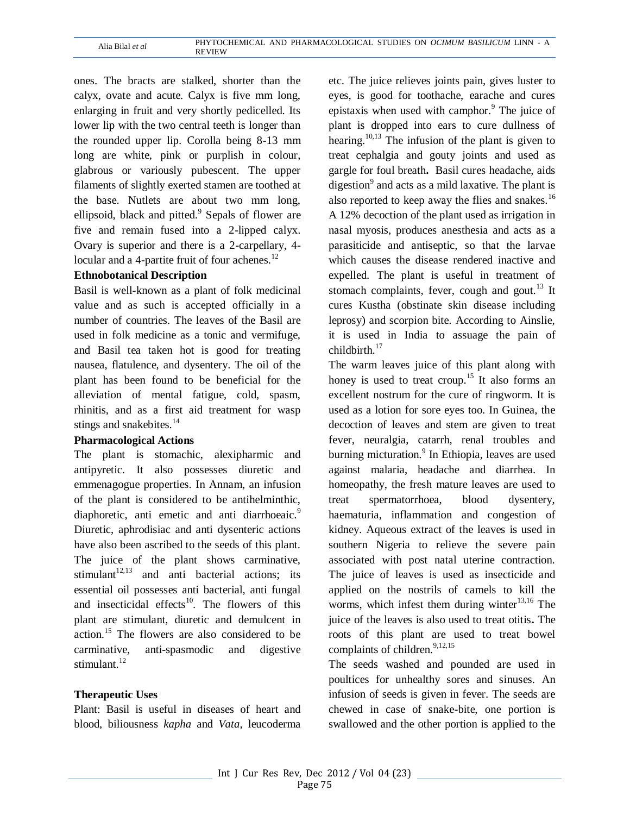ones. The bracts are stalked, shorter than the calyx, ovate and acute. Calyx is five mm long, enlarging in fruit and very shortly pedicelled. Its lower lip with the two central teeth is longer than the rounded upper lip. Corolla being 8-13 mm long are white, pink or purplish in colour, glabrous or variously pubescent. The upper filaments of slightly exerted stamen are toothed at the base. Nutlets are about two mm long, ellipsoid, black and pitted.<sup>9</sup> Sepals of flower are five and remain fused into a 2-lipped calyx. Ovary is superior and there is a 2-carpellary, 4 locular and a 4-partite fruit of four achenes. $^{12}$ 

## **Ethnobotanical Description**

Basil is well-known as a plant of folk medicinal value and as such is accepted officially in a number of countries. The leaves of the Basil are used in folk medicine as a tonic and vermifuge, and Basil tea taken hot is good for treating nausea, flatulence, and dysentery. The oil of the plant has been found to be beneficial for the alleviation of mental fatigue, cold, spasm, rhinitis, and as a first aid treatment for wasp stings and snakebites.<sup>14</sup>

#### **Pharmacological Actions**

The plant is stomachic, alexipharmic and antipyretic. It also possesses diuretic and emmenagogue properties. In Annam, an infusion of the plant is considered to be antihelminthic, diaphoretic, anti emetic and anti diarrhoeaic.<sup>9</sup> Diuretic, aphrodisiac and anti dysenteric actions have also been ascribed to the seeds of this plant. The juice of the plant shows carminative, stimulant<sup>12,13</sup> and anti bacterial actions; its essential oil possesses anti bacterial, anti fungal and insecticidal effects<sup>10</sup>. The flowers of this plant are stimulant, diuretic and demulcent in action.<sup>15</sup> The flowers are also considered to be carminative, anti-spasmodic and digestive stimulant.<sup>12</sup>

#### **Therapeutic Uses**

Plant: Basil is useful in diseases of heart and blood, biliousness *kapha* and *Vata*, leucoderma

etc. The juice relieves joints pain, gives luster to eyes, is good for toothache, earache and cures epistaxis when used with camphor. $9$  The juice of plant is dropped into ears to cure dullness of hearing.<sup>10,13</sup> The infusion of the plant is given to treat cephalgia and gouty joints and used as gargle for foul breath**.** Basil cures headache, aids digestion<sup>9</sup> and acts as a mild laxative. The plant is also reported to keep away the flies and snakes. $16$ A 12% decoction of the plant used as irrigation in nasal myosis, produces anesthesia and acts as a parasiticide and antiseptic, so that the larvae which causes the disease rendered inactive and expelled. The plant is useful in treatment of stomach complaints, fever, cough and gout.<sup>13</sup> It cures Kustha (obstinate skin disease including leprosy) and scorpion bite. According to Ainslie, it is used in India to assuage the pain of childbirth.<sup>17</sup>

The warm leaves juice of this plant along with honey is used to treat croup.<sup>15</sup> It also forms an excellent nostrum for the cure of ringworm. It is used as a lotion for sore eyes too. In Guinea, the decoction of leaves and stem are given to treat fever, neuralgia, catarrh, renal troubles and burning micturation.<sup>9</sup> In Ethiopia, leaves are used against malaria, headache and diarrhea. In homeopathy, the fresh mature leaves are used to treat spermatorrhoea, blood dysentery, haematuria, inflammation and congestion of kidney. Aqueous extract of the leaves is used in southern Nigeria to relieve the severe pain associated with post natal uterine contraction. The juice of leaves is used as insecticide and applied on the nostrils of camels to kill the worms, which infest them during winter $13,16$  The juice of the leaves is also used to treat otitis**.** The roots of this plant are used to treat bowel complaints of children. $9,12,15$ 

The seeds washed and pounded are used in poultices for unhealthy sores and sinuses. An infusion of seeds is given in fever. The seeds are chewed in case of snake-bite, one portion is swallowed and the other portion is applied to the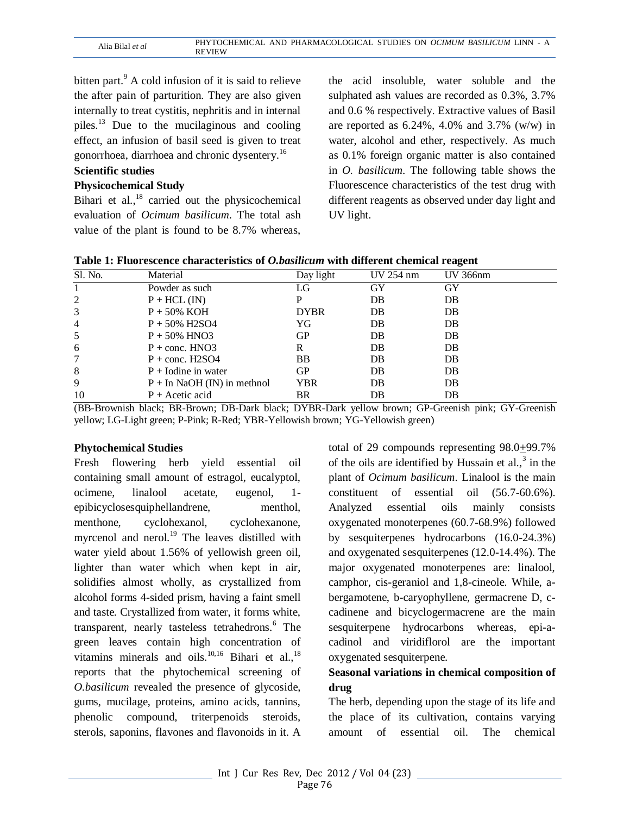bitten part.<sup>9</sup> A cold infusion of it is said to relieve the after pain of parturition. They are also given internally to treat cystitis, nephritis and in internal piles. $^{13}$  Due to the mucilaginous and cooling effect, an infusion of basil seed is given to treat gonorrhoea, diarrhoea and chronic dysentery.<sup>16</sup>

# **Scientific studies**

#### **Physicochemical Study**

Bihari et al., $^{18}$  carried out the physicochemical evaluation of *Ocimum basilicum*. The total ash value of the plant is found to be 8.7% whereas,

the acid insoluble, water soluble and the sulphated ash values are recorded as 0.3%, 3.7% and 0.6 % respectively. Extractive values of Basil are reported as  $6.24\%$ ,  $4.0\%$  and  $3.7\%$  (w/w) in water, alcohol and ether, respectively. As much as 0.1% foreign organic matter is also contained in *O. basilicum*. The following table shows the Fluorescence characteristics of the test drug with different reagents as observed under day light and UV light.

| Table 1: Fluorescence characteristics of <i>O.basilicum</i> with different chemical reagent |  |  |  |  |  |
|---------------------------------------------------------------------------------------------|--|--|--|--|--|
|---------------------------------------------------------------------------------------------|--|--|--|--|--|

| Sl. No.        | Material                      | Day light   | UV 254 nm | UV 366nm |
|----------------|-------------------------------|-------------|-----------|----------|
|                | Powder as such                | LG          | GY        | GY       |
| 2              | $P + HCL$ (IN)                |             | DB        | DB       |
| 3              | $P + 50\%$ KOH                | <b>DYBR</b> | DB        | DB       |
| $\overline{4}$ | $P + 50\%$ H2SO4              | YG          | DB        | DB       |
| 5              | $P + 50\%$ HNO3               | GP          | DB        | DB       |
| 6              | $P + \text{conc. HNO3}$       | R           | DB        | DB       |
| 7              | $P + \text{conc. H2SO4}$      | BB          | DB        | DB       |
| 8              | $P +$ Iodine in water         | GP          | DB        | DB       |
| 9              | $P + In NaOH (IN)$ in methnol | YBR         | DB        | DB       |
| 10             | $P +$ Acetic acid             | BR          | DB        | DB       |

(BB-Brownish black; BR-Brown; DB-Dark black; DYBR-Dark yellow brown; GP-Greenish pink; GY-Greenish yellow; LG-Light green; P-Pink; R-Red; YBR-Yellowish brown; YG-Yellowish green)

## **Phytochemical Studies**

Fresh flowering herb yield essential oil containing small amount of estragol, eucalyptol, ocimene, linalool acetate, eugenol, 1 epibicyclosesquiphellandrene, menthol, menthone, cyclohexanol, cyclohexanone, myrcenol and nerol. $19$  The leaves distilled with water yield about 1.56% of yellowish green oil, lighter than water which when kept in air, solidifies almost wholly, as crystallized from alcohol forms 4-sided prism, having a faint smell and taste. Crystallized from water, it forms white, transparent, nearly tasteless tetrahedrons.<sup>6</sup> The green leaves contain high concentration of vitamins minerals and oils. $^{10,16}$  Bihari et al., $^{18}$ reports that the phytochemical screening of *O.basilicum* revealed the presence of glycoside, gums, mucilage, proteins, amino acids, tannins, phenolic compound, triterpenoids steroids, sterols, saponins, flavones and flavonoids in it. A

total of 29 compounds representing 98.0+99.7% of the oils are identified by Hussain et al., $3$  in the plant of *Ocimum basilicum*. Linalool is the main constituent of essential oil (56.7-60.6%). Analyzed essential oils mainly consists oxygenated monoterpenes (60.7-68.9%) followed by sesquiterpenes hydrocarbons (16.0-24.3%) and oxygenated sesquiterpenes (12.0-14.4%). The major oxygenated monoterpenes are: linalool, camphor, cis-geraniol and 1,8-cineole. While, abergamotene, b-caryophyllene, germacrene D, ccadinene and bicyclogermacrene are the main sesquiterpene hydrocarbons whereas, epi-acadinol and viridiflorol are the important oxygenated sesquiterpene.

## **Seasonal variations in chemical composition of drug**

The herb, depending upon the stage of its life and the place of its cultivation, contains varying amount of essential oil. The chemical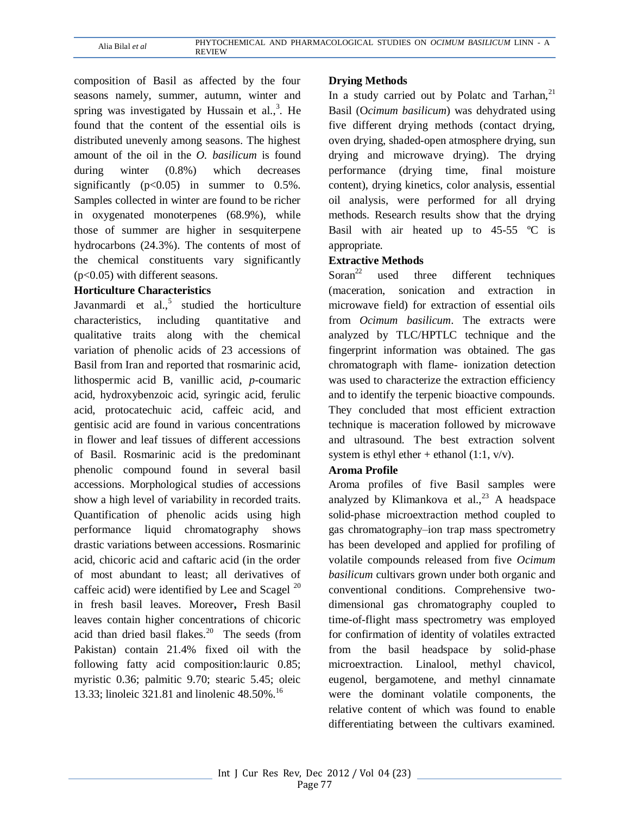composition of Basil as affected by the four seasons namely, summer, autumn, winter and spring was investigated by Hussain et al., $3$ . He found that the content of the essential oils is distributed unevenly among seasons. The highest amount of the oil in the *O. basilicum* is found during winter (0.8%) which decreases significantly  $(p<0.05)$  in summer to 0.5%. Samples collected in winter are found to be richer in oxygenated monoterpenes (68.9%), while those of summer are higher in sesquiterpene hydrocarbons (24.3%). The contents of most of the chemical constituents vary significantly (p<0.05) with different seasons.

## **Horticulture Characteristics**

Javanmardi et al., $5$  studied the horticulture characteristics, including quantitative and qualitative traits along with the chemical variation of phenolic acids of 23 accessions of Basil from Iran and reported that rosmarinic acid, lithospermic acid B, vanillic acid, *p*-coumaric acid, hydroxybenzoic acid, syringic acid, ferulic acid, protocatechuic acid, caffeic acid, and gentisic acid are found in various concentrations in flower and leaf tissues of different accessions of Basil. Rosmarinic acid is the predominant phenolic compound found in several basil accessions. Morphological studies of accessions show a high level of variability in recorded traits. Quantification of phenolic acids using high performance liquid chromatography shows drastic variations between accessions. Rosmarinic acid, chicoric acid and caftaric acid (in the order of most abundant to least; all derivatives of caffeic acid) were identified by Lee and Scagel  $^{20}$ in fresh basil leaves. Moreover**,** Fresh Basil leaves contain higher concentrations of chicoric acid than dried basil flakes. $20$  The seeds (from Pakistan) contain 21.4% fixed oil with the following fatty acid composition:lauric 0.85; myristic 0.36; palmitic 9.70; stearic 5.45; oleic 13.33; linoleic 321.81 and linolenic 48.50%.<sup>16</sup>

## **Drying Methods**

In a study carried out by Polatc and Tarhan, $^{21}$ Basil (O*cimum basilicum*) was dehydrated using five different drying methods (contact drying, oven drying, shaded-open atmosphere drying, sun drying and microwave drying). The drying performance (drying time, final moisture content), drying kinetics, color analysis, essential oil analysis, were performed for all drying methods. Research results show that the drying Basil with air heated up to  $45-55$  °C is appropriate.

## **Extractive Methods**

Soran<sup>22</sup> used three different techniques (maceration, sonication and extraction in microwave field) for extraction of essential oils from *Ocimum basilicum*. The extracts were analyzed by TLC/HPTLC technique and the fingerprint information was obtained. The gas chromatograph with flame- ionization detection was used to characterize the extraction efficiency and to identify the terpenic bioactive compounds. They concluded that most efficient extraction technique is maceration followed by microwave and ultrasound. The best extraction solvent system is ethyl ether + ethanol  $(1:1, v/v)$ .

## **Aroma Profile**

Aroma profiles of five Basil samples were analyzed by Klimankova et al.,  $^{23}$  A headspace solid-phase microextraction method coupled to gas chromatography–ion trap mass spectrometry has been developed and applied for profiling of volatile compounds released from five *Ocimum basilicum* cultivars grown under both organic and conventional conditions. Comprehensive twodimensional gas chromatography coupled to time-of-flight mass spectrometry was employed for confirmation of identity of volatiles extracted from the basil headspace by solid-phase microextraction. Linalool, methyl chavicol, eugenol, bergamotene, and methyl cinnamate were the dominant volatile components, the relative content of which was found to enable differentiating between the cultivars examined.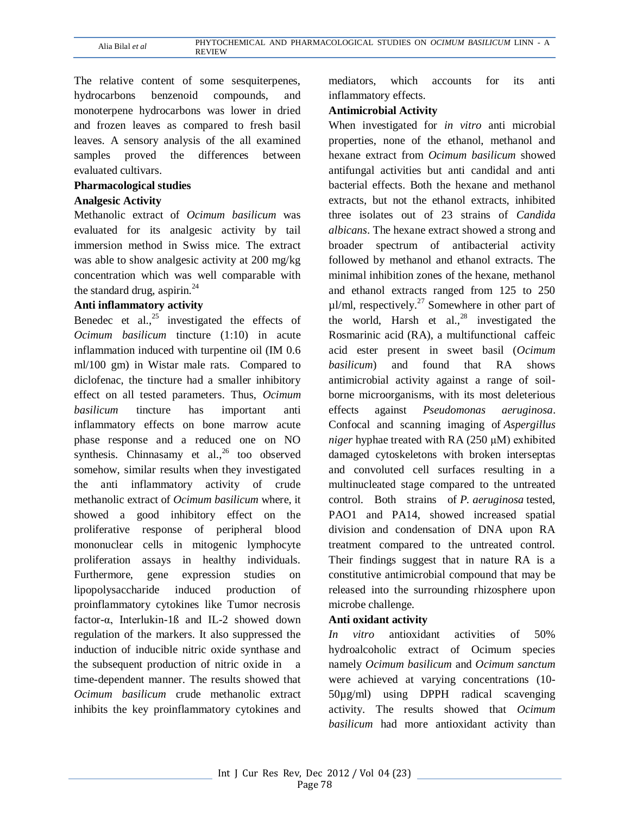The relative content of some sesquiterpenes, hydrocarbons benzenoid compounds, and monoterpene hydrocarbons was lower in dried and frozen leaves as compared to fresh basil leaves. A sensory analysis of the all examined samples proved the differences between evaluated cultivars.

#### **Pharmacological studies**

#### **Analgesic Activity**

Methanolic extract of *Ocimum basilicum* was evaluated for its analgesic activity by tail immersion method in Swiss mice. The extract was able to show analgesic activity at 200 mg/kg concentration which was well comparable with the standard drug, aspirin. $^{24}$ 

## **Anti inflammatory activity**

Benedec et al.,  $2^5$  investigated the effects of *Ocimum basilicum* tincture (1:10) in acute inflammation induced with turpentine oil (IM 0.6 ml/100 gm) in Wistar male rats. Compared to diclofenac, the tincture had a smaller inhibitory effect on all tested parameters. Thus, *Ocimum basilicum* tincture has important anti inflammatory effects on bone marrow acute phase response and a reduced one on NO synthesis. Chinnasamy et al., $26$  too observed somehow, similar results when they investigated the anti inflammatory activity of crude methanolic extract of *Ocimum basilicum* where, it showed a good inhibitory effect on the proliferative response of peripheral blood mononuclear cells in mitogenic lymphocyte proliferation assays in healthy individuals. Furthermore, gene expression studies on lipopolysaccharide induced production of proinflammatory cytokines like Tumor necrosis factor-α, Interlukin-1ß and IL-2 showed down regulation of the markers. It also suppressed the induction of inducible nitric oxide synthase and the subsequent production of nitric oxide in a time-dependent manner. The results showed that *Ocimum basilicum* crude methanolic extract inhibits the key proinflammatory cytokines and

mediators, which accounts for its anti inflammatory effects.

## **Antimicrobial Activity**

When investigated for *in vitro* anti microbial properties, none of the ethanol, methanol and hexane extract from *Ocimum basilicum* showed antifungal activities but anti candidal and anti bacterial effects. Both the hexane and methanol extracts, but not the ethanol extracts, inhibited three isolates out of 23 strains of *Candida albicans*. The hexane extract showed a strong and broader spectrum of antibacterial activity followed by methanol and ethanol extracts. The minimal inhibition zones of the hexane, methanol and ethanol extracts ranged from 125 to 250  $\mu$ l/ml, respectively.<sup>27</sup> Somewhere in other part of the world, Harsh et al., <sup>28</sup> investigated the Rosmarinic acid (RA), a multifunctional caffeic acid ester present in sweet basil (*Ocimum basilicum*) and found that RA shows antimicrobial activity against a range of soilborne microorganisms, with its most deleterious effects against *Pseudomonas aeruginosa*. Confocal and scanning imaging of *Aspergillus niger* hyphae treated with RA (250 μM) exhibited damaged cytoskeletons with broken interseptas and convoluted cell surfaces resulting in a multinucleated stage compared to the untreated control. Both strains of *P. aeruginosa* tested, PAO1 and PA14, showed increased spatial division and condensation of DNA upon RA treatment compared to the untreated control. Their findings suggest that in nature RA is a constitutive antimicrobial compound that may be released into the surrounding rhizosphere upon microbe challenge.

#### **Anti oxidant activity**

*In vitro* antioxidant activities of 50% hydroalcoholic extract of Ocimum species namely *Ocimum basilicum* and *Ocimum sanctum* were achieved at varying concentrations (10- 50µg/ml) using DPPH radical scavenging activity. The results showed that *Ocimum basilicum* had more antioxidant activity than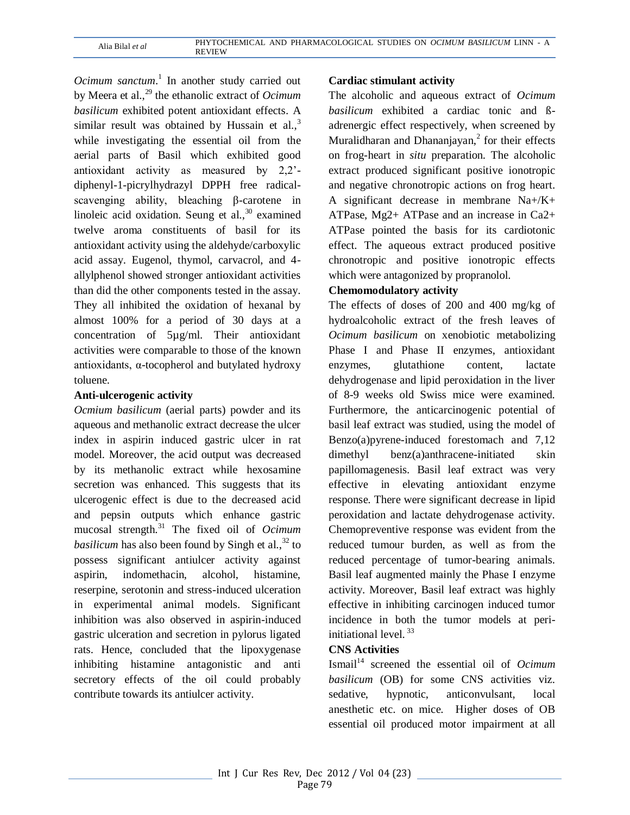*Ocimum sanctum*. 1 In another study carried out by Meera et al.,<sup>29</sup> the ethanolic extract of *Ocimum basilicum* exhibited potent antioxidant effects. A similar result was obtained by Hussain et al., $3$ while investigating the essential oil from the aerial parts of Basil which exhibited good antioxidant activity as measured by 2,2' diphenyl-1-picrylhydrazyl DPPH free radicalscavenging ability, bleaching β-carotene in linoleic acid oxidation. Seung et al., $30$  examined twelve aroma constituents of basil for its antioxidant activity using the aldehyde/carboxylic acid assay. Eugenol, thymol, carvacrol, and 4 allylphenol showed stronger antioxidant activities than did the other components tested in the assay. They all inhibited the oxidation of hexanal by almost 100% for a period of 30 days at a concentration of 5µg/ml. Their antioxidant activities were comparable to those of the known antioxidants, α-tocopherol and butylated hydroxy toluene.

## **Anti-ulcerogenic activity**

*Ocmium basilicum* (aerial parts) powder and its aqueous and methanolic extract decrease the ulcer index in aspirin induced gastric ulcer in rat model. Moreover, the acid output was decreased by its methanolic extract while hexosamine secretion was enhanced. This suggests that its ulcerogenic effect is due to the decreased acid and pepsin outputs which enhance gastric mucosal strength.<sup>31</sup> The fixed oil of *Ocimum basilicum* has also been found by Singh et al.,  $32$  to possess significant antiulcer activity against aspirin, indomethacin, alcohol, histamine, reserpine, serotonin and stress-induced ulceration in experimental animal models. Significant inhibition was also observed in aspirin-induced gastric ulceration and secretion in pylorus ligated rats. Hence, concluded that the lipoxygenase inhibiting histamine antagonistic and anti secretory effects of the oil could probably contribute towards its antiulcer activity.

### **Cardiac stimulant activity**

The alcoholic and aqueous extract of *Ocimum basilicum* exhibited a cardiac tonic and ßadrenergic effect respectively, when screened by Muralidharan and Dhananjayan, $<sup>2</sup>$  for their effects</sup> on frog-heart in *situ* preparation. The alcoholic extract produced significant positive ionotropic and negative chronotropic actions on frog heart. A significant decrease in membrane Na+/K+ ATPase, Mg2+ ATPase and an increase in Ca2+ ATPase pointed the basis for its cardiotonic effect. The aqueous extract produced positive chronotropic and positive ionotropic effects which were antagonized by propranolol.

## **Chemomodulatory activity**

The effects of doses of 200 and 400 mg/kg of hydroalcoholic extract of the fresh leaves of *Ocimum basilicum* on xenobiotic metabolizing Phase I and Phase II enzymes, antioxidant enzymes, glutathione content, lactate dehydrogenase and lipid peroxidation in the liver of 8-9 weeks old Swiss mice were examined. Furthermore, the anticarcinogenic potential of basil leaf extract was studied, using the model of Benzo(a)pyrene-induced forestomach and 7,12 dimethyl benz(a)anthracene-initiated skin papillomagenesis. Basil leaf extract was very effective in elevating antioxidant enzyme response. There were significant decrease in lipid peroxidation and lactate dehydrogenase activity. Chemopreventive response was evident from the reduced tumour burden, as well as from the reduced percentage of tumor-bearing animals. Basil leaf augmented mainly the Phase I enzyme activity. Moreover, Basil leaf extract was highly effective in inhibiting carcinogen induced tumor incidence in both the tumor models at periinitiational level. <sup>33</sup>

## **CNS Activities**

Ismail<sup>14</sup> screened the essential oil of *Ocimum basilicum* (OB) for some CNS activities viz. sedative, hypnotic, anticonvulsant, local anesthetic etc. on mice. Higher doses of OB essential oil produced motor impairment at all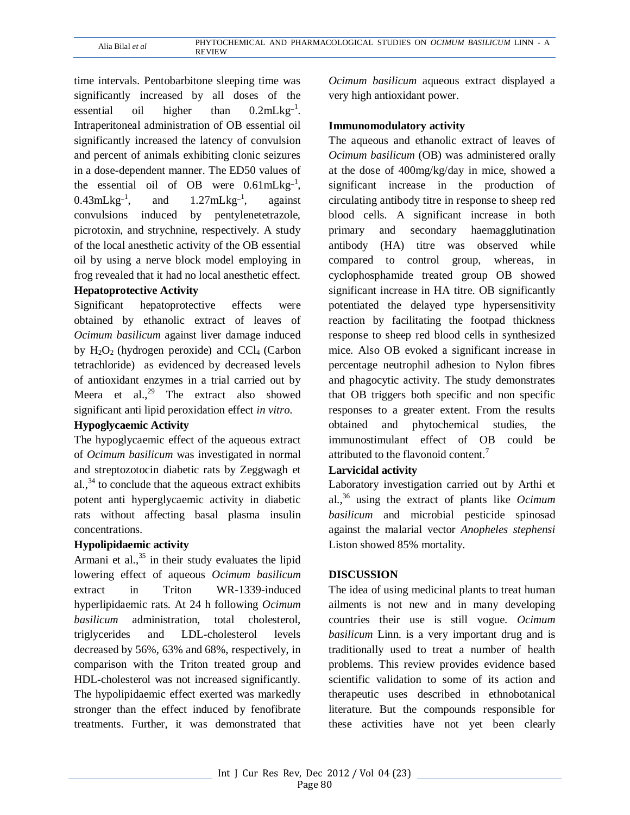time intervals. Pentobarbitone sleeping time was significantly increased by all doses of the essential oil higher than  $0.2 \text{mLkg}^{-1}$ . Intraperitoneal administration of OB essential oil significantly increased the latency of convulsion and percent of animals exhibiting clonic seizures in a dose-dependent manner. The ED50 values of the essential oil of OB were  $0.61 \text{mLkg}^{-1}$ ,  $0.43$ mLkg<sup>-1</sup>, and  $1.27$ mLkg<sup>-1</sup>, against convulsions induced by pentylenetetrazole, picrotoxin, and strychnine, respectively. A study of the local anesthetic activity of the OB essential oil by using a nerve block model employing in frog revealed that it had no local anesthetic effect.

## **Hepatoprotective Activity**

Significant hepatoprotective effects were obtained by ethanolic extract of leaves of *Ocimum basilicum* against liver damage induced by  $H_2O_2$  (hydrogen peroxide) and CCl<sub>4</sub> (Carbon tetrachloride) as evidenced by decreased levels of antioxidant enzymes in a trial carried out by Meera et al.,<sup>29</sup> The extract also showed significant anti lipid peroxidation effect *in vitro*.

## **Hypoglycaemic Activity**

The hypoglycaemic effect of the aqueous extract of *Ocimum basilicum* was investigated in normal and streptozotocin diabetic rats by Zeggwagh et al., $34$  to conclude that the aqueous extract exhibits potent anti hyperglycaemic activity in diabetic rats without affecting basal plasma insulin concentrations.

## **Hypolipidaemic activity**

Armani et al.,<sup>35</sup> in their study evaluates the lipid lowering effect of aqueous *Ocimum basilicum*  extract in Triton WR-1339-induced hyperlipidaemic rats. At 24 h following *Ocimum basilicum* administration, total cholesterol, triglycerides and LDL-cholesterol levels decreased by 56%, 63% and 68%, respectively, in comparison with the Triton treated group and HDL-cholesterol was not increased significantly. The hypolipidaemic effect exerted was markedly stronger than the effect induced by fenofibrate treatments. Further, it was demonstrated that

*Ocimum basilicum* aqueous extract displayed a very high antioxidant power.

## **Immunomodulatory activity**

The aqueous and ethanolic extract of leaves of *Ocimum basilicum* (OB) was administered orally at the dose of 400mg/kg/day in mice, showed a significant increase in the production of circulating antibody titre in response to sheep red blood cells. A significant increase in both primary and secondary haemagglutination antibody (HA) titre was observed while compared to control group, whereas, in cyclophosphamide treated group OB showed significant increase in HA titre. OB significantly potentiated the delayed type hypersensitivity reaction by facilitating the footpad thickness response to sheep red blood cells in synthesized mice. Also OB evoked a significant increase in percentage neutrophil adhesion to Nylon fibres and phagocytic activity. The study demonstrates that OB triggers both specific and non specific responses to a greater extent. From the results obtained and phytochemical studies, the immunostimulant effect of OB could be attributed to the flavonoid content.<sup>7</sup>

## **Larvicidal activity**

Laboratory investigation carried out by Arthi et al.,<sup>36</sup> using the extract of plants like *Ocimum basilicum* and microbial pesticide spinosad against the malarial vector *Anopheles stephensi*  Liston showed 85% mortality.

## **DISCUSSION**

The idea of using medicinal plants to treat human ailments is not new and in many developing countries their use is still vogue. *Ocimum basilicum* Linn. is a very important drug and is traditionally used to treat a number of health problems. This review provides evidence based scientific validation to some of its action and therapeutic uses described in ethnobotanical literature. But the compounds responsible for these activities have not yet been clearly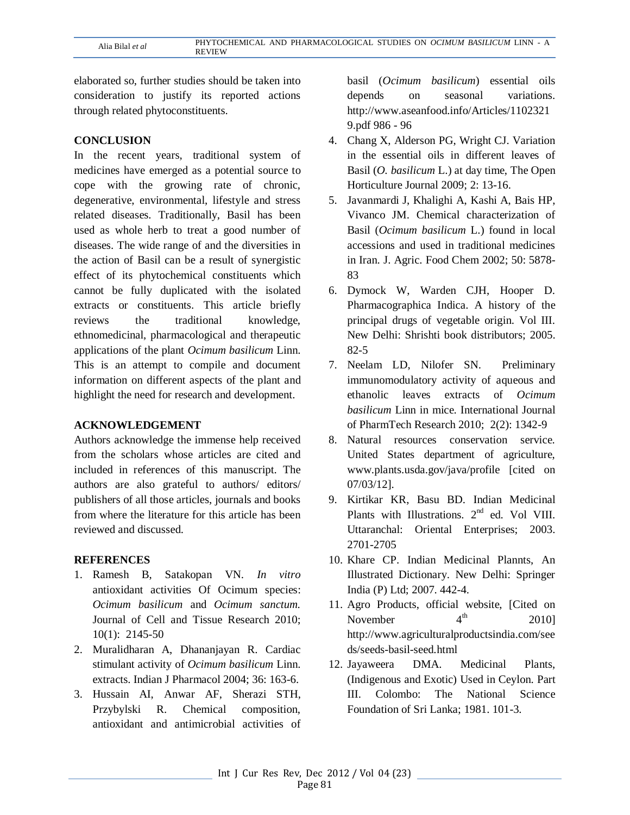elaborated so, further studies should be taken into consideration to justify its reported actions through related phytoconstituents.

## **CONCLUSION**

In the recent years, traditional system of medicines have emerged as a potential source to cope with the growing rate of chronic, degenerative, environmental, lifestyle and stress related diseases. Traditionally, Basil has been used as whole herb to treat a good number of diseases. The wide range of and the diversities in the action of Basil can be a result of synergistic effect of its phytochemical constituents which cannot be fully duplicated with the isolated extracts or constituents. This article briefly reviews the traditional knowledge, ethnomedicinal, pharmacological and therapeutic applications of the plant *Ocimum basilicum* Linn. This is an attempt to compile and document information on different aspects of the plant and highlight the need for research and development.

## **ACKNOWLEDGEMENT**

Authors acknowledge the immense help received from the scholars whose articles are cited and included in references of this manuscript. The authors are also grateful to authors/ editors/ publishers of all those articles, journals and books from where the literature for this article has been reviewed and discussed.

# **REFERENCES**

- 1. Ramesh B, Satakopan VN. *In vitro*  antioxidant activities Of Ocimum species: *Ocimum basilicum* and *Ocimum sanctum.*  Journal of Cell and Tissue Research 2010; 10(1): 2145-50
- 2. Muralidharan A, Dhananjayan R. Cardiac stimulant activity of *Ocimum basilicum* Linn. extracts. Indian J Pharmacol 2004; 36: 163-6.
- 3. Hussain AI, Anwar AF, Sherazi STH, Przybylski R. Chemical composition, antioxidant and antimicrobial activities of

basil (*Ocimum basilicum*) essential oils depends on seasonal variations. http://www.aseanfood.info/Articles/1102321 9.pdf 986 - 96

- 4. Chang X, Alderson PG, Wright CJ. Variation in the essential oils in different leaves of Basil (*O. basilicum* L.) at day time, The Open Horticulture Journal 2009; 2: 13-16.
- 5. Javanmardi J, Khalighi A, Kashi A, Bais HP, Vivanco JM. Chemical characterization of Basil (*Ocimum basilicum* L.) found in local accessions and used in traditional medicines in Iran. J. Agric. Food Chem 2002; 50: 5878- 83
- 6. Dymock W, Warden CJH, Hooper D. Pharmacographica Indica. A history of the principal drugs of vegetable origin. Vol III. New Delhi: Shrishti book distributors; 2005. 82-5
- 7. Neelam LD, Nilofer SN. Preliminary immunomodulatory activity of aqueous and ethanolic leaves extracts of *Ocimum basilicum* Linn in mice. International Journal of PharmTech Research 2010; 2(2): 1342-9
- 8. Natural resources conservation service. United States department of agriculture, www.plants.usda.gov/java/profile [cited on 07/03/12].
- 9. Kirtikar KR, Basu BD. Indian Medicinal Plants with Illustrations. 2<sup>nd</sup> ed. Vol VIII. Uttaranchal: Oriental Enterprises; 2003. 2701-2705
- 10. Khare CP. Indian Medicinal Plannts, An Illustrated Dictionary. New Delhi: Springer India (P) Ltd; 2007. 442-4.
- 11. Agro Products, official website, [Cited on November  $4<sup>th</sup>$  2010] http://www.agriculturalproductsindia.com/see ds/seeds-basil-seed.html
- 12. Jayaweera DMA. Medicinal Plants, (Indigenous and Exotic) Used in Ceylon. Part III. Colombo: The National Science Foundation of Sri Lanka; 1981. 101-3.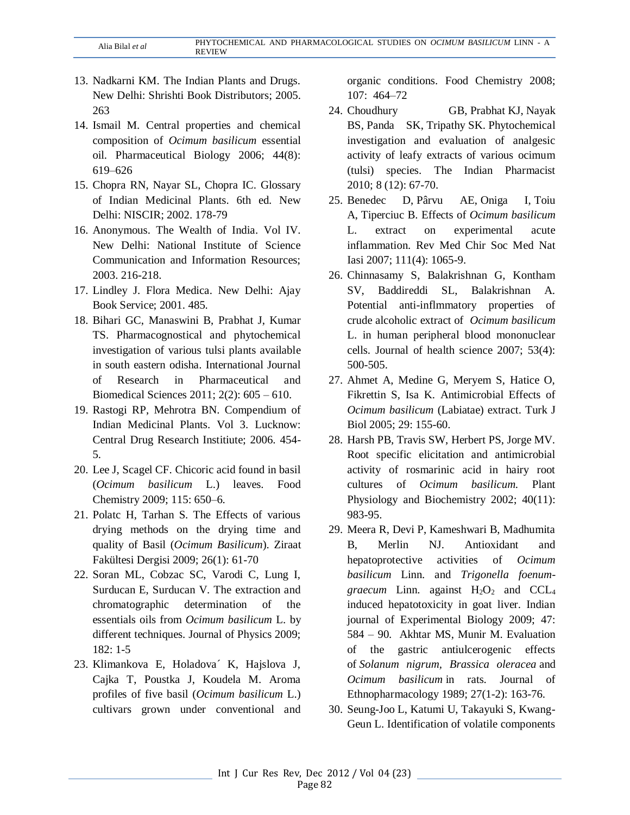- 13. Nadkarni KM. The Indian Plants and Drugs. New Delhi: Shrishti Book Distributors; 2005. 263
- 14. Ismail M. Central properties and chemical composition of *Ocimum basilicum* essential oil. Pharmaceutical Biology 2006; 44(8): 619–626
- 15. Chopra RN, Nayar SL, Chopra IC. Glossary of Indian Medicinal Plants. 6th ed. New Delhi: NISCIR; 2002. 178-79
- 16. Anonymous. The Wealth of India. Vol IV. New Delhi: National Institute of Science Communication and Information Resources; 2003. 216-218.
- 17. Lindley J. Flora Medica. New Delhi: Ajay Book Service; 2001. 485.
- 18. Bihari GC, Manaswini B, Prabhat J, Kumar TS. Pharmacognostical and phytochemical investigation of various tulsi plants available in south eastern odisha. International Journal of Research in Pharmaceutical and Biomedical Sciences 2011; 2(2): 605 – 610.
- 19. Rastogi RP, Mehrotra BN. Compendium of Indian Medicinal Plants. Vol 3. Lucknow: Central Drug Research Institiute; 2006. 454- 5.
- 20. Lee J, Scagel CF. Chicoric acid found in basil (*Ocimum basilicum* L.) leaves. Food Chemistry 2009; 115: 650–6.
- 21. Polatc H, Tarhan S. The Effects of various drying methods on the drying time and quality of Basil (*Ocimum Basilicum*). Ziraat Fakültesi Dergisi 2009; 26(1): 61-70
- 22. Soran ML, Cobzac SC, Varodi C, Lung I, Surducan E, Surducan V. The extraction and chromatographic determination of the essentials oils from *Ocimum basilicum* L. by different techniques. Journal of Physics 2009; 182: 1-5
- 23. Klimankova E, Holadova´ K, Hajslova J, Cajka T, Poustka J, Koudela M. Aroma profiles of five basil (*Ocimum basilicum* L.) cultivars grown under conventional and

organic conditions. Food Chemistry 2008; 107: 464–72

- 24. [Choudhury](http://www.refdoc.fr/?traduire=en&FormRechercher=submit&FormRechercher_Txt_Recherche_name_attr=auteursNom:%20(CHOUDHURY%20GOLAK)) GB, [Prabhat](http://www.refdoc.fr/?traduire=en&FormRechercher=submit&FormRechercher_Txt_Recherche_name_attr=auteursNom:%20(PRABHAT)) KJ, [Nayak](http://www.refdoc.fr/?traduire=en&FormRechercher=submit&FormRechercher_Txt_Recherche_name_attr=auteursNom:%20(NAYAK%20BHABANI)) [BS,](http://www.refdoc.fr/?traduire=en&FormRechercher=submit&FormRechercher_Txt_Recherche_name_attr=auteursNom:%20(NAYAK%20BHABANI)) [Panda SK,](http://www.refdoc.fr/?traduire=en&FormRechercher=submit&FormRechercher_Txt_Recherche_name_attr=auteursNom:%20(PANDA%20SANGRAM)) [Tripathy](http://www.refdoc.fr/?traduire=en&FormRechercher=submit&FormRechercher_Txt_Recherche_name_attr=auteursNom:%20(TRIPATHY)) SK. Phytochemical investigation and evaluation of analgesic activity of leafy extracts of various ocimum (tulsi) species. [The Indian Pharmacist](http://www.refdoc.fr/?traduire=en&FormRechercher=submit&FormRechercher_Txt_Recherche_name_attr=listeTitreSerie:%20(The%20Indian%20Pharmacist)) 2010; 8 (12): 67-70.
- 25. [Benedec D,](http://www.ncbi.nlm.nih.gov/pubmed?term=%22Benedec%20D%22%5BAuthor%5D) [Pârvu AE,](http://www.ncbi.nlm.nih.gov/pubmed?term=%22P%C3%A2rvu%20AE%22%5BAuthor%5D) [Oniga I,](http://www.ncbi.nlm.nih.gov/pubmed?term=%22Oniga%20I%22%5BAuthor%5D) [Toiu](http://www.ncbi.nlm.nih.gov/pubmed?term=%22Toiu%20A%22%5BAuthor%5D)  [A,](http://www.ncbi.nlm.nih.gov/pubmed?term=%22Toiu%20A%22%5BAuthor%5D) [Tiperciuc B.](http://www.ncbi.nlm.nih.gov/pubmed?term=%22Tiperciuc%20B%22%5BAuthor%5D) Effects of *Ocimum basilicum* L. extract on experimental acute inflammation. [Rev Med Chir Soc Med Nat](javascript:AL_get(this,%20)  [Iasi](javascript:AL_get(this,%20) 2007; 111(4): 1065-9.
- 26. Chinnasamy S, Balakrishnan G, Kontham SV, Baddireddi SL, Balakrishnan A. Potential anti-inflmmatory properties of crude alcoholic extract of *Ocimum basilicum* L. in human peripheral blood mononuclear cells. Journal of health science 2007; 53(4): 500-505.
- 27. Ahmet A, Medine G, Meryem S, Hatice O, Fikrettin S, Isa K. Antimicrobial Effects of *Ocimum basilicum* (Labiatae) extract. Turk J Biol 2005; 29: 155-60.
- 28. Harsh PB, Travis SW, Herbert PS, Jorge MV. Root specific elicitation and antimicrobial activity of rosmarinic acid in hairy root cultures of *Ocimum basilicum.* [Plant](http://www.sciencedirect.com/science/journal/09819428)  [Physiology and Biochemistry](http://www.sciencedirect.com/science/journal/09819428) 2002; [40\(11\)](http://www.sciencedirect.com/science?_ob=PublicationURL&_tockey=%23TOC%236232%232002%23999599988%23366876%23FLA%23&_cdi=6232&_pubType=J&view=c&_auth=y&_acct=C000050221&_version=1&_urlVersion=0&_userid=10&md5=cef13b4f824459f731b7c65282f48c71): 983-95.
- 29. Meera R, Devi P, Kameshwari B, Madhumita B, Merlin NJ. Antioxidant and hepatoprotective activities of *Ocimum basilicum* Linn. and *Trigonella foenumgraecum* Linn. against  $H_2O_2$  and  $CCL_4$ induced hepatotoxicity in goat liver. Indian journal of Experimental Biology 2009; 47: 584 – 90. Akhtar MS, Munir M. Evaluation of the gastric antiulcerogenic effects of *Solanum nigrum, Brassica oleracea* and *Ocimum basilicum* in rats. [Journal of](http://www.sciencedirect.com/science/journal/03788741)  [Ethnopharmacology](http://www.sciencedirect.com/science/journal/03788741) 198[9; 27\(1-2\)](http://www.sciencedirect.com/science?_ob=PublicationURL&_tockey=%23TOC%235084%231989%23999729998%23357181%23FLP%23&_cdi=5084&_pubType=J&view=c&_auth=y&_acct=C000050221&_version=1&_urlVersion=0&_userid=10&md5=374f4739194e4bb4d477b537fc391e1c): 163-76.
- 30. Seung-Joo L, Katumi U, Takayuki S, Kwang-Geun L. Identification of volatile components